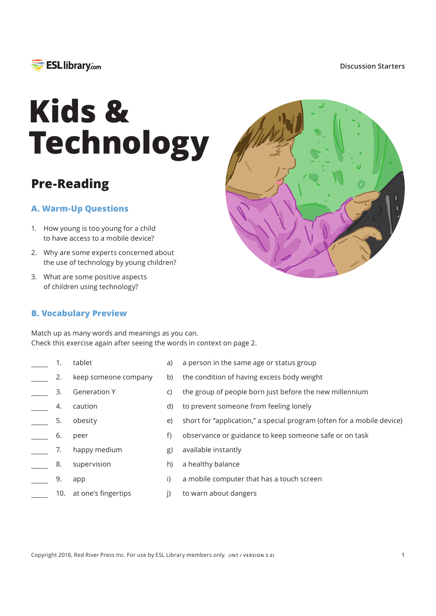

#### **Discussion Starters**

# **Kids & Technology**

## **Pre-Reading**

## **A. Warm-Up Questions**

- 1. How young is too young for a child to have access to a mobile device?
- 2. Why are some experts concerned about the use of technology by young children?
- 3. What are some positive aspects of children using technology?

### **B. Vocabulary Preview**



Match up as many words and meanings as you can. Check this exercise again after seeing the words in context on page 2.

- tablet 1.
- keep someone company 2.
- Generation Y 3.
- caution 4.
- obesity 5.
- peer 6.
- happy medium 7.
- supervision 8.
- app 9.
- 10.
- a) a person in the same age or status group
- b) the condition of having excess body weight
- $\mathsf{C}$ the group of people born just before the new millennium
- d) to prevent someone from feeling lonely
- e) short for "application," a special program (often for a mobile device)
- $f$ observance or guidance to keep someone safe or on task
- $g)$ available instantly
- $h)$ a healthy balance
- $\mathsf{i}$ a mobile computer that has a touch screen
- $\mathsf{I}$ to warn about dangers at one's fingertips